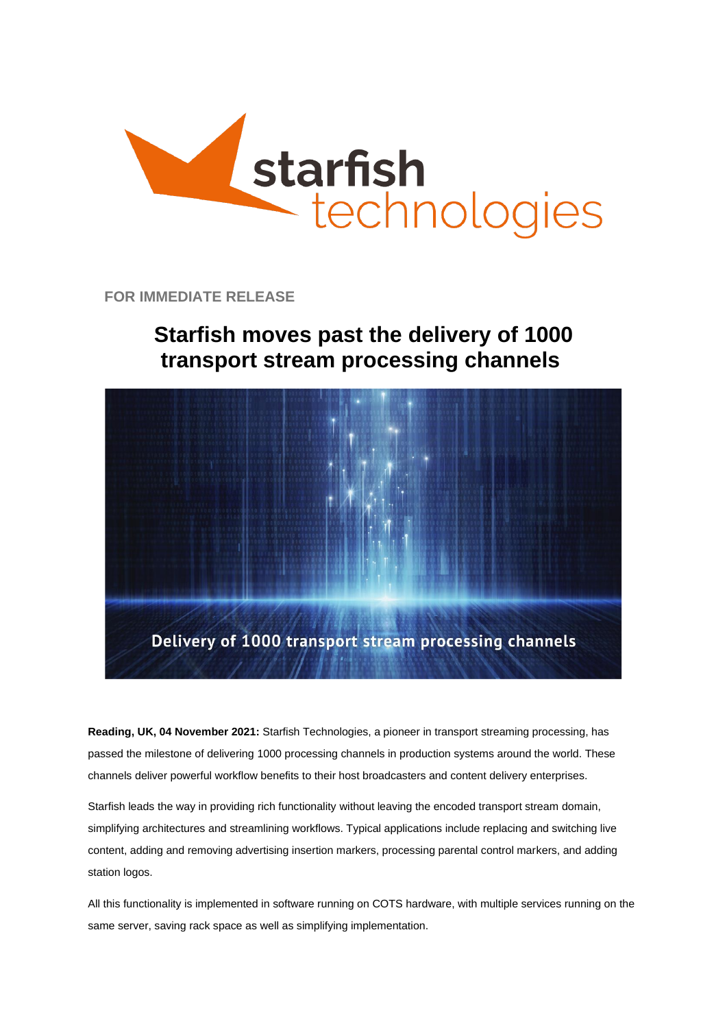

**FOR IMMEDIATE RELEASE**

## **Starfish moves past the delivery of 1000 transport stream processing channels**



**Reading, UK, 04 November 2021:** Starfish Technologies, a pioneer in transport streaming processing, has passed the milestone of delivering 1000 processing channels in production systems around the world. These channels deliver powerful workflow benefits to their host broadcasters and content delivery enterprises.

Starfish leads the way in providing rich functionality without leaving the encoded transport stream domain, simplifying architectures and streamlining workflows. Typical applications include replacing and switching live content, adding and removing advertising insertion markers, processing parental control markers, and adding station logos.

All this functionality is implemented in software running on COTS hardware, with multiple services running on the same server, saving rack space as well as simplifying implementation.